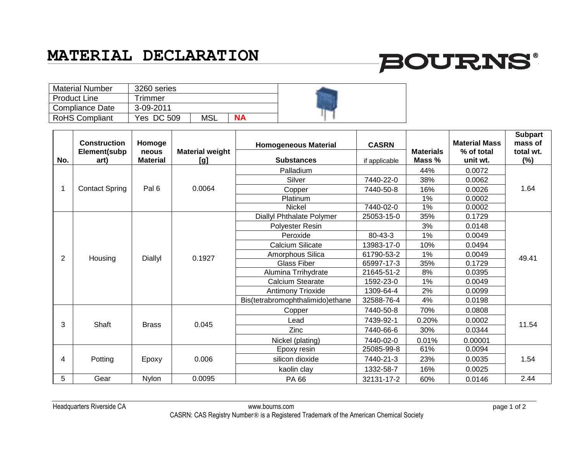### **MATERIAL DECLARATION**

# **BOURNS®**

| <b>Material Number</b> | 3260 series       |            |           |  |
|------------------------|-------------------|------------|-----------|--|
| <b>Product Line</b>    | Frimmer           |            |           |  |
| <b>Compliance Date</b> | 3-09-2011         |            |           |  |
| <b>RoHS Compliant</b>  | <b>Yes DC 509</b> | <b>MSL</b> | <b>NA</b> |  |

|                | <b>Construction</b><br>Element(subp | Homoge<br>neous | <b>Material weight</b> | <b>Homogeneous Material</b>      | <b>CASRN</b>  | <b>Materials</b> | <b>Material Mass</b><br>% of total | <b>Subpart</b><br>mass of<br>total wt. |
|----------------|-------------------------------------|-----------------|------------------------|----------------------------------|---------------|------------------|------------------------------------|----------------------------------------|
| No.            | art)                                | <b>Material</b> | [g]                    | <b>Substances</b>                | if applicable | Mass %           | unit wt.                           | $(\%)$                                 |
| 1              | <b>Contact Spring</b>               | Pal 6           | 0.0064                 | Palladium                        |               | 44%              | 0.0072                             | 1.64                                   |
|                |                                     |                 |                        | Silver                           | 7440-22-0     | 38%              | 0.0062                             |                                        |
|                |                                     |                 |                        | Copper                           | 7440-50-8     | 16%              | 0.0026                             |                                        |
|                |                                     |                 |                        | Platinum                         |               | 1%               | 0.0002                             |                                        |
|                |                                     |                 |                        | <b>Nickel</b>                    | 7440-02-0     | 1%               | 0.0002                             |                                        |
|                | Housing                             | Diallyl         | 0.1927                 | Diallyl Phthalate Polymer        | 25053-15-0    | 35%              | 0.1729                             | 49.41                                  |
| 2              |                                     |                 |                        | <b>Polyester Resin</b>           |               | 3%               | 0.0148                             |                                        |
|                |                                     |                 |                        | Peroxide                         | 80-43-3       | 1%               | 0.0049                             |                                        |
|                |                                     |                 |                        | Calcium Silicate                 | 13983-17-0    | 10%              | 0.0494                             |                                        |
|                |                                     |                 |                        | Amorphous Silica                 | 61790-53-2    | 1%               | 0.0049                             |                                        |
|                |                                     |                 |                        | <b>Glass Fiber</b>               | 65997-17-3    | 35%              | 0.1729                             |                                        |
|                |                                     |                 |                        | Alumina Trrihydrate              | 21645-51-2    | 8%               | 0.0395                             |                                        |
|                |                                     |                 |                        | Calcium Stearate                 | 1592-23-0     | 1%               | 0.0049                             |                                        |
|                |                                     |                 |                        | <b>Antimony Trioxide</b>         | 1309-64-4     | 2%               | 0.0099                             |                                        |
|                |                                     |                 |                        | Bis(tetrabromophthalimido)ethane | 32588-76-4    | 4%               | 0.0198                             |                                        |
| 3              | Shaft                               | <b>Brass</b>    | 0.045                  | Copper                           | 7440-50-8     | 70%              | 0.0808                             | 11.54                                  |
|                |                                     |                 |                        | Lead                             | 7439-92-1     | 0.20%            | 0.0002                             |                                        |
|                |                                     |                 |                        | Zinc                             | 7440-66-6     | 30%              | 0.0344                             |                                        |
|                |                                     |                 |                        | Nickel (plating)                 | 7440-02-0     | 0.01%            | 0.00001                            |                                        |
| $\overline{4}$ | Potting                             | Epoxy           | 0.006                  | Epoxy resin                      | 25085-99-8    | 61%              | 0.0094                             | 1.54                                   |
|                |                                     |                 |                        | silicon dioxide                  | 7440-21-3     | 23%              | 0.0035                             |                                        |
|                |                                     |                 |                        | kaolin clay                      | 1332-58-7     | 16%              | 0.0025                             |                                        |
| 5              | Gear                                | Nylon           | 0.0095                 | PA 66                            | 32131-17-2    | 60%              | 0.0146                             | 2.44                                   |